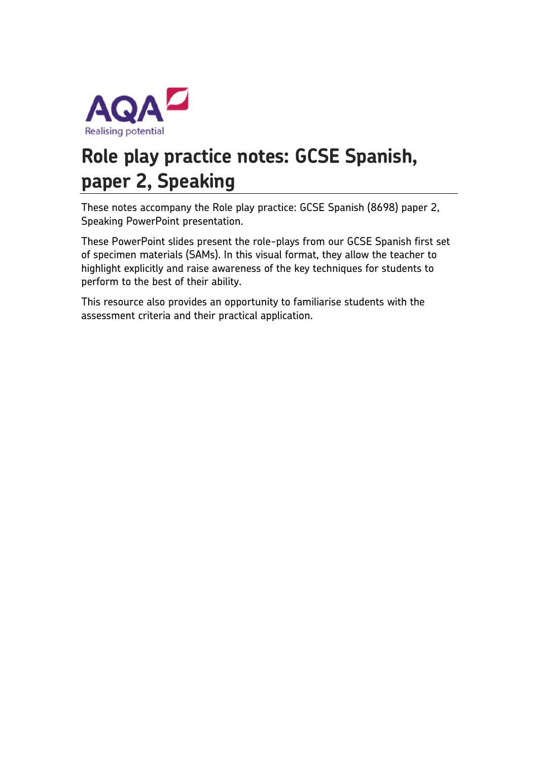

# **Role play practice notes: GCSE Spanish, paper 2, Speaking**

These notes accompany the Role play practice: GCSE Spanish (8698) paper 2, Speaking PowerPoint presentation.

These PowerPoint slides present the role-plays from our GCSE Spanish first set of specimen materials (SAMs). In this visual format, they allow the teacher to highlight explicitly and raise awareness of the key techniques for students to perform to the best of their ability.

This resource also provides an opportunity to familiarise students with the assessment criteria and their practical application.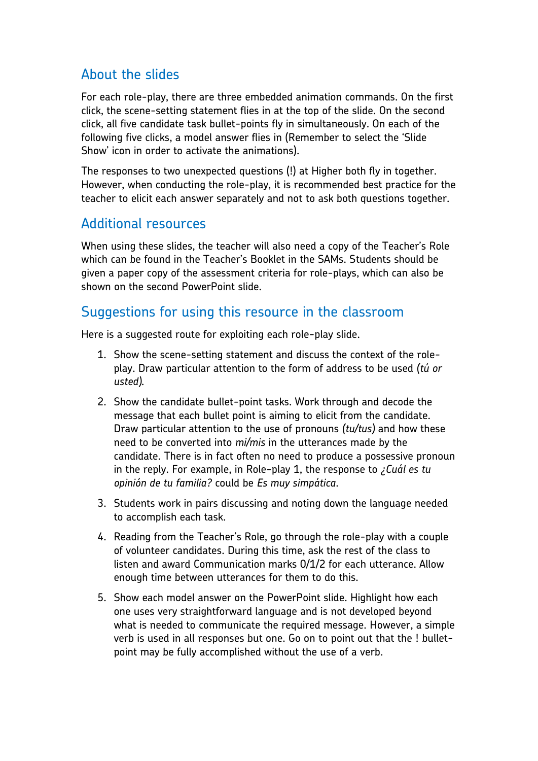## About the slides

For each role-play, there are three embedded animation commands. On the first click, the scene-setting statement flies in at the top of the slide. On the second click, all five candidate task bullet-points fly in simultaneously. On each of the following five clicks, a model answer flies in (Remember to select the 'Slide Show' icon in order to activate the animations).

The responses to two unexpected questions (!) at Higher both fly in together. However, when conducting the role-play, it is recommended best practice for the teacher to elicit each answer separately and not to ask both questions together.

### Additional resources

When using these slides, the teacher will also need a copy of the Teacher's Role which can be found in the Teacher's Booklet in the SAMs. Students should be given a paper copy of the assessment criteria for role-plays, which can also be shown on the second PowerPoint slide.

### Suggestions for using this resource in the classroom

Here is a suggested route for exploiting each role-play slide.

- 1. Show the scene-setting statement and discuss the context of the roleplay. Draw particular attention to the form of address to be used *(tú or usted).*
- 2. Show the candidate bullet-point tasks. Work through and decode the message that each bullet point is aiming to elicit from the candidate. Draw particular attention to the use of pronouns *(tu/tus)* and how these need to be converted into *mi/mis* in the utterances made by the candidate. There is in fact often no need to produce a possessive pronoun in the reply. For example, in Role-play 1, the response to *¿Cuál es tu opinión de tu familia?* could be *Es muy simpática*.
- 3. Students work in pairs discussing and noting down the language needed to accomplish each task.
- 4. Reading from the Teacher's Role, go through the role-play with a couple of volunteer candidates. During this time, ask the rest of the class to listen and award Communication marks 0/1/2 for each utterance. Allow enough time between utterances for them to do this.
- 5. Show each model answer on the PowerPoint slide. Highlight how each one uses very straightforward language and is not developed beyond what is needed to communicate the required message. However, a simple verb is used in all responses but one. Go on to point out that the ! bulletpoint may be fully accomplished without the use of a verb.